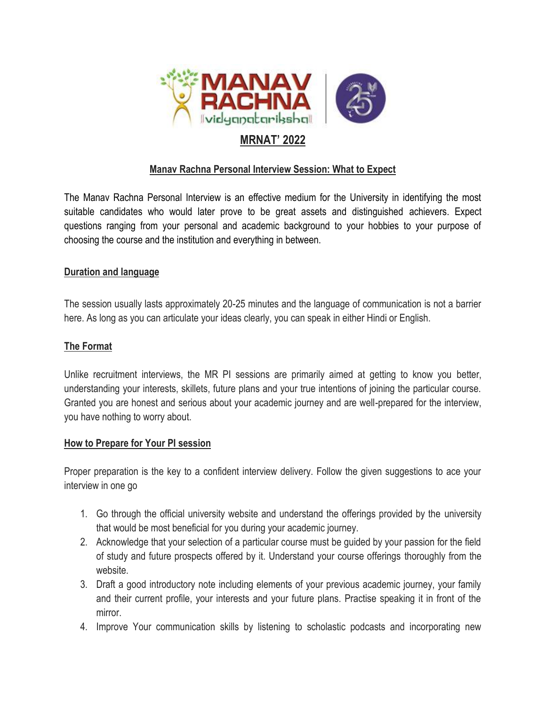

## **MRNAT' 2022**

### **Manav Rachna Personal Interview Session: What to Expect**

The Manav Rachna Personal Interview is an effective medium for the University in identifying the most suitable candidates who would later prove to be great assets and distinguished achievers. Expect questions ranging from your personal and academic background to your hobbies to your purpose of choosing the course and the institution and everything in between.

#### **Duration and language**

The session usually lasts approximately 20-25 minutes and the language of communication is not a barrier here. As long as you can articulate your ideas clearly, you can speak in either Hindi or English.

#### **The Format**

Unlike recruitment interviews, the MR PI sessions are primarily aimed at getting to know you better, understanding your interests, skillets, future plans and your true intentions of joining the particular course. Granted you are honest and serious about your academic journey and are well-prepared for the interview, you have nothing to worry about.

#### **How to Prepare for Your PI session**

Proper preparation is the key to a confident interview delivery. Follow the given suggestions to ace your interview in one go

- 1. Go through the official university website and understand the offerings provided by the university that would be most beneficial for you during your academic journey.
- 2. Acknowledge that your selection of a particular course must be guided by your passion for the field of study and future prospects offered by it. Understand your course offerings thoroughly from the website.
- 3. Draft a good introductory note including elements of your previous academic journey, your family and their current profile, your interests and your future plans. Practise speaking it in front of the mirror.
- 4. Improve Your communication skills by listening to scholastic podcasts and incorporating new